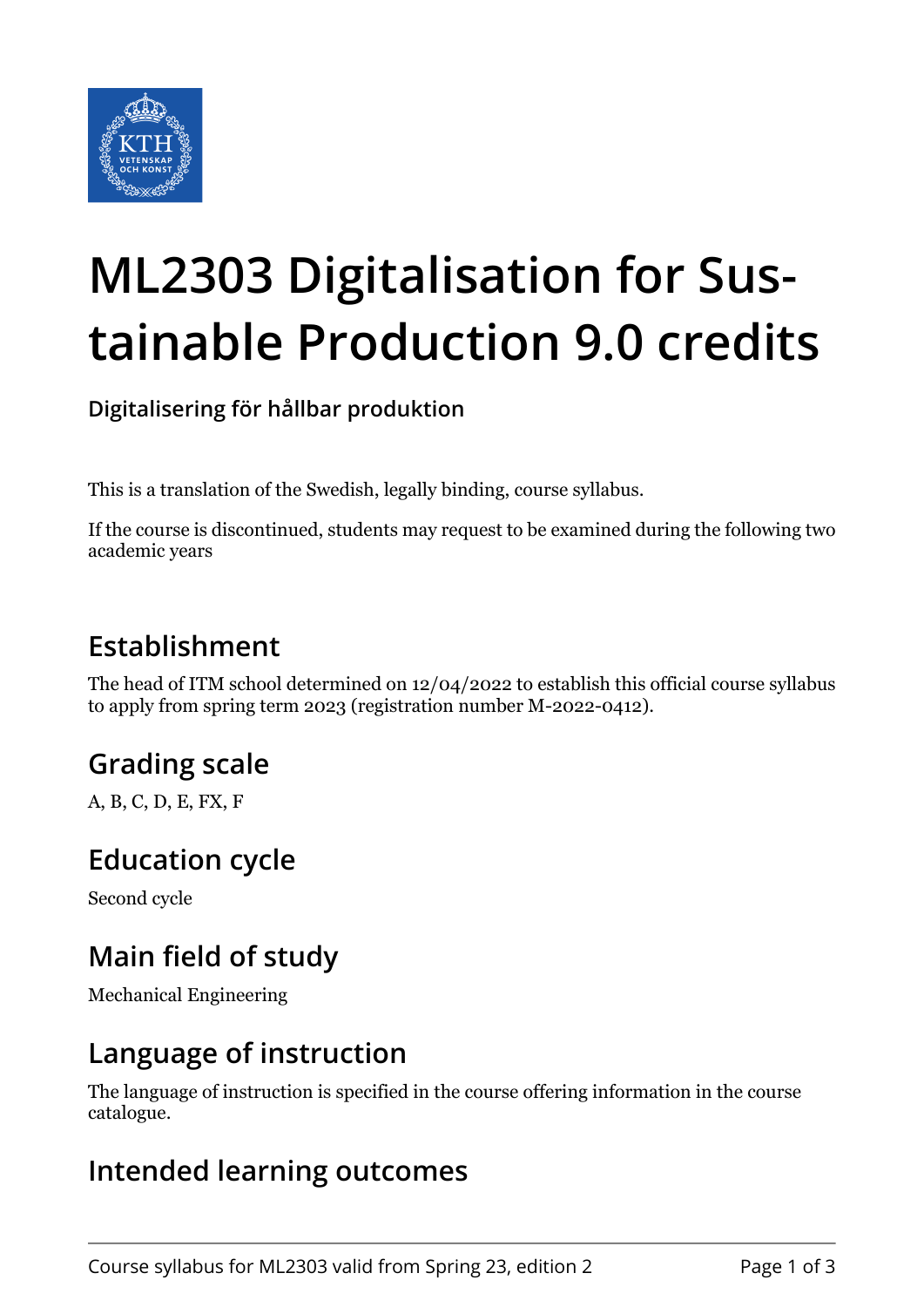

# **ML2303 Digitalisation for Sustainable Production 9.0 credits**

**Digitalisering för hållbar produktion**

This is a translation of the Swedish, legally binding, course syllabus.

If the course is discontinued, students may request to be examined during the following two academic years

# **Establishment**

The head of ITM school determined on 12/04/2022 to establish this official course syllabus to apply from spring term 2023 (registration number M-2022-0412).

# **Grading scale**

A, B, C, D, E, FX, F

## **Education cycle**

Second cycle

## **Main field of study**

Mechanical Engineering

#### **Language of instruction**

The language of instruction is specified in the course offering information in the course catalogue.

#### **Intended learning outcomes**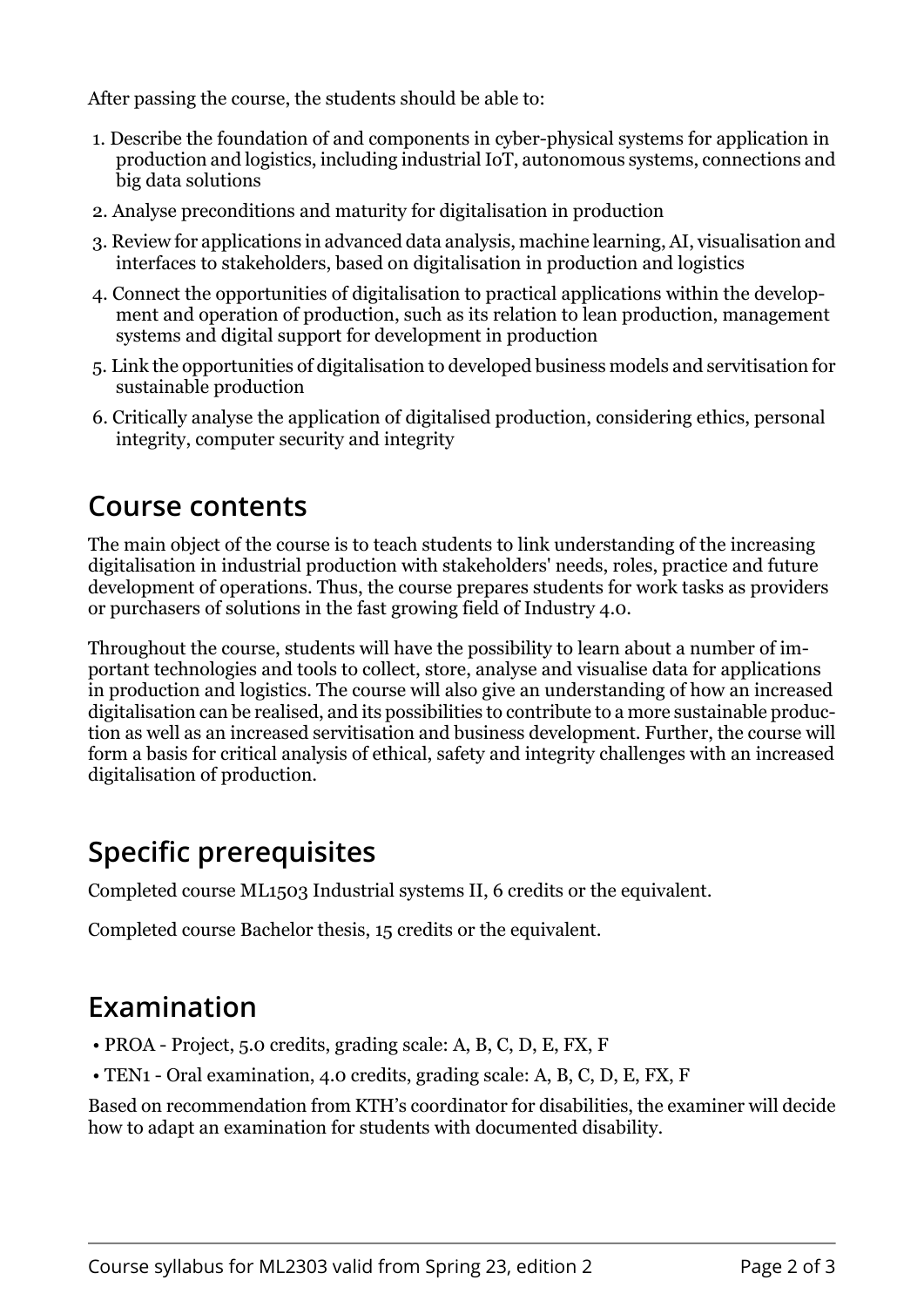After passing the course, the students should be able to:

- 1. Describe the foundation of and components in cyber-physical systems for application in production and logistics, including industrial IoT, autonomous systems, connections and big data solutions
- 2. Analyse preconditions and maturity for digitalisation in production
- 3. Review for applications in advanced data analysis, machine learning, AI, visualisation and interfaces to stakeholders, based on digitalisation in production and logistics
- 4. Connect the opportunities of digitalisation to practical applications within the development and operation of production, such as its relation to lean production, management systems and digital support for development in production
- 5. Link the opportunities of digitalisation to developed business models and servitisation for sustainable production
- 6. Critically analyse the application of digitalised production, considering ethics, personal integrity, computer security and integrity

#### **Course contents**

The main object of the course is to teach students to link understanding of the increasing digitalisation in industrial production with stakeholders' needs, roles, practice and future development of operations. Thus, the course prepares students for work tasks as providers or purchasers of solutions in the fast growing field of Industry 4.0.

Throughout the course, students will have the possibility to learn about a number of important technologies and tools to collect, store, analyse and visualise data for applications in production and logistics. The course will also give an understanding of how an increased digitalisation can be realised, and its possibilities to contribute to a more sustainable production as well as an increased servitisation and business development. Further, the course will form a basis for critical analysis of ethical, safety and integrity challenges with an increased digitalisation of production.

# **Specific prerequisites**

Completed course ML1503 Industrial systems II, 6 credits or the equivalent.

Completed course Bachelor thesis, 15 credits or the equivalent.

# **Examination**

- PROA Project, 5.0 credits, grading scale: A, B, C, D, E, FX, F
- TEN1 Oral examination, 4.0 credits, grading scale: A, B, C, D, E, FX, F

Based on recommendation from KTH's coordinator for disabilities, the examiner will decide how to adapt an examination for students with documented disability.